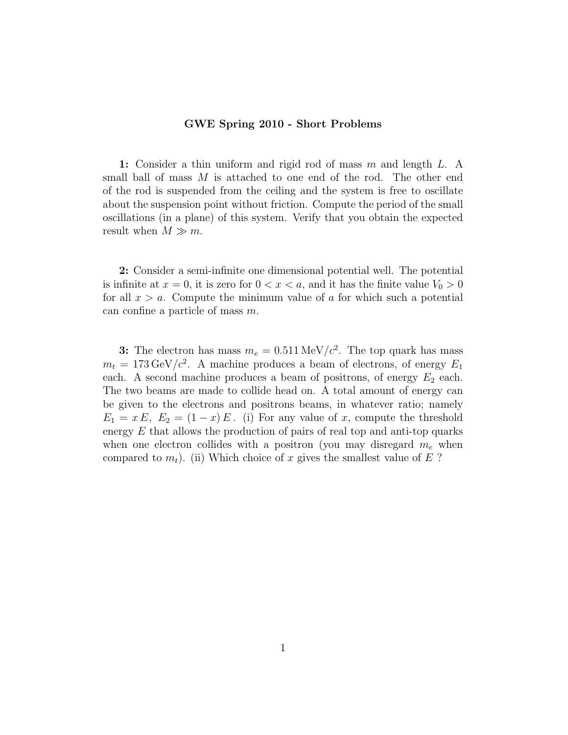## GWE Spring 2010 - Short Problems

1: Consider a thin uniform and rigid rod of mass m and length L. A small ball of mass M is attached to one end of the rod. The other end of the rod is suspended from the ceiling and the system is free to oscillate about the suspension point without friction. Compute the period of the small oscillations (in a plane) of this system. Verify that you obtain the expected result when  $M \gg m$ .

2: Consider a semi-infinite one dimensional potential well. The potential is infinite at  $x = 0$ , it is zero for  $0 < x < a$ , and it has the finite value  $V_0 > 0$ for all  $x > a$ . Compute the minimum value of a for which such a potential can confine a particle of mass m.

3: The electron has mass  $m_e = 0.511 \,\text{MeV}/c^2$ . The top quark has mass  $m_t = 173 \,\text{GeV}/c^2$ . A machine produces a beam of electrons, of energy  $E_1$ each. A second machine produces a beam of positrons, of energy  $E_2$  each. The two beams are made to collide head on. A total amount of energy can be given to the electrons and positrons beams, in whatever ratio; namely  $E_1 = x E$ ,  $E_2 = (1-x) E$ . (i) For any value of x, compute the threshold energy  $E$  that allows the production of pairs of real top and anti-top quarks when one electron collides with a positron (you may disregard  $m_e$  when compared to  $m_t$ ). (ii) Which choice of x gives the smallest value of E?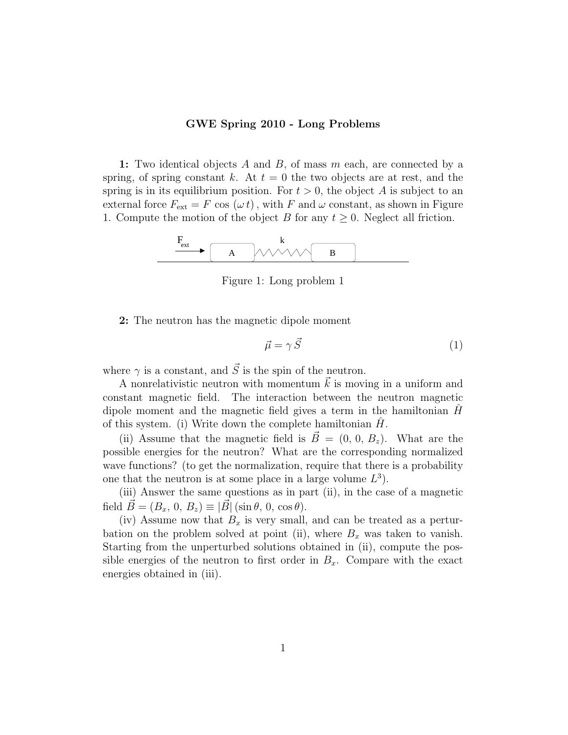## GWE Spring 2010 - Long Problems

1: Two identical objects A and B, of mass  $m$  each, are connected by a spring, of spring constant k. At  $t = 0$  the two objects are at rest, and the spring is in its equilibrium position. For  $t > 0$ , the object A is subject to an external force  $F_{\text{ext}} = F \cos (\omega t)$ , with F and  $\omega$  constant, as shown in Figure 1. Compute the motion of the object B for any  $t \geq 0$ . Neglect all friction.



Figure 1: Long problem 1

2: The neutron has the magnetic dipole moment

$$
\vec{\mu} = \gamma \vec{S} \tag{1}
$$

where  $\gamma$  is a constant, and  $\vec{S}$  is the spin of the neutron.

A nonrelativistic neutron with momentum  $\vec{k}$  is moving in a uniform and constant magnetic field. The interaction between the neutron magnetic dipole moment and the magnetic field gives a term in the hamiltonian  $H$ of this system. (i) Write down the complete hamiltonian  $H$ .

(ii) Assume that the magnetic field is  $\vec{B} = (0, 0, B_z)$ . What are the possible energies for the neutron? What are the corresponding normalized wave functions? (to get the normalization, require that there is a probability one that the neutron is at some place in a large volume  $L^3$ ).

(iii) Answer the same questions as in part (ii), in the case of a magnetic field  $\vec{B} = (B_x, 0, B_z) \equiv |\vec{B}| (\sin \theta, 0, \cos \theta).$ 

(iv) Assume now that  $B_x$  is very small, and can be treated as a perturbation on the problem solved at point (ii), where  $B_x$  was taken to vanish. Starting from the unperturbed solutions obtained in (ii), compute the possible energies of the neutron to first order in  $B_x$ . Compare with the exact energies obtained in (iii).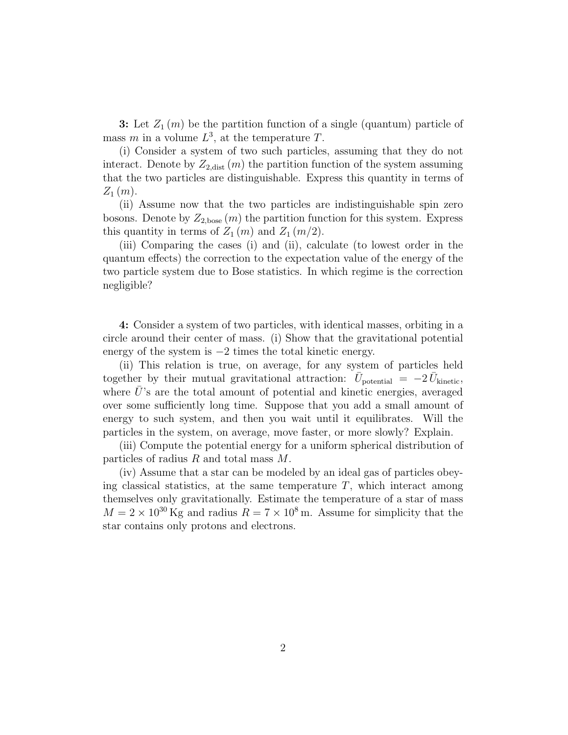**3:** Let  $Z_1(m)$  be the partition function of a single (quantum) particle of mass m in a volume  $L^3$ , at the temperature T.

(i) Consider a system of two such particles, assuming that they do not interact. Denote by  $Z_{2,\text{dist}}(m)$  the partition function of the system assuming that the two particles are distinguishable. Express this quantity in terms of  $Z_1(m)$ .

(ii) Assume now that the two particles are indistinguishable spin zero bosons. Denote by  $Z_{2,\text{base}}(m)$  the partition function for this system. Express this quantity in terms of  $Z_1(m)$  and  $Z_1(m/2)$ .

(iii) Comparing the cases (i) and (ii), calculate (to lowest order in the quantum effects) the correction to the expectation value of the energy of the two particle system due to Bose statistics. In which regime is the correction negligible?

4: Consider a system of two particles, with identical masses, orbiting in a circle around their center of mass. (i) Show that the gravitational potential energy of the system is −2 times the total kinetic energy.

(ii) This relation is true, on average, for any system of particles held together by their mutual gravitational attraction:  $\bar{U}_{\text{potential}} = -2 \bar{U}_{\text{kinetic}}$ , where  $U$ 's are the total amount of potential and kinetic energies, averaged over some sufficiently long time. Suppose that you add a small amount of energy to such system, and then you wait until it equilibrates. Will the particles in the system, on average, move faster, or more slowly? Explain.

(iii) Compute the potential energy for a uniform spherical distribution of particles of radius R and total mass M.

(iv) Assume that a star can be modeled by an ideal gas of particles obeying classical statistics, at the same temperature  $T$ , which interact among themselves only gravitationally. Estimate the temperature of a star of mass  $M = 2 \times 10^{30}$  Kg and radius  $R = 7 \times 10^8$  m. Assume for simplicity that the star contains only protons and electrons.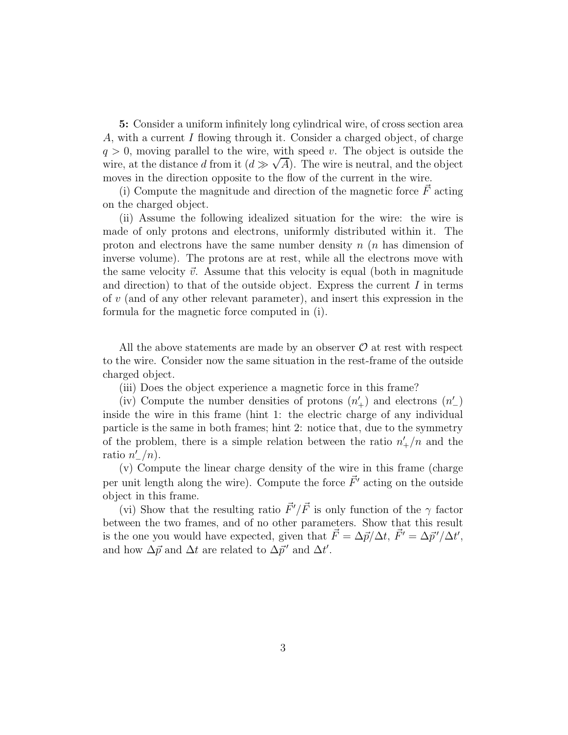5: Consider a uniform infinitely long cylindrical wire, of cross section area A, with a current I flowing through it. Consider a charged object, of charge  $q > 0$ , moving parallel to the wire, with speed v. The object is outside the wire, at the distance d from it  $(d \gg \sqrt{A})$ . The wire is neutral, and the object moves in the direction opposite to the flow of the current in the wire.

(i) Compute the magnitude and direction of the magnetic force  $\vec{F}$  acting on the charged object.

(ii) Assume the following idealized situation for the wire: the wire is made of only protons and electrons, uniformly distributed within it. The proton and electrons have the same number density  $n(n)$  has dimension of inverse volume). The protons are at rest, while all the electrons move with the same velocity  $\vec{v}$ . Assume that this velocity is equal (both in magnitude and direction) to that of the outside object. Express the current  $I$  in terms of v (and of any other relevant parameter), and insert this expression in the formula for the magnetic force computed in (i).

All the above statements are made by an observer  $\mathcal O$  at rest with respect to the wire. Consider now the same situation in the rest-frame of the outside charged object.

(iii) Does the object experience a magnetic force in this frame?

(iv) Compute the number densities of protons  $(n'_+)$  and electrons  $(n'_-)$ inside the wire in this frame (hint 1: the electric charge of any individual particle is the same in both frames; hint 2: notice that, due to the symmetry of the problem, there is a simple relation between the ratio  $n'_+/n$  and the ratio  $n'_-/n$ ).

(v) Compute the linear charge density of the wire in this frame (charge per unit length along the wire). Compute the force  $\vec{F}'$  acting on the outside object in this frame.

(vi) Show that the resulting ratio  $\vec{F}'/\vec{F}$  is only function of the  $\gamma$  factor between the two frames, and of no other parameters. Show that this result is the one you would have expected, given that  $\vec{F} = \Delta \vec{p}/\Delta t$ ,  $\vec{F'} = \Delta \vec{p'}/\Delta t'$ , and how  $\Delta p \overrightarrow{p}$  and  $\Delta t$  are related to  $\Delta p$ <sup>'</sup> and  $\Delta t'$ .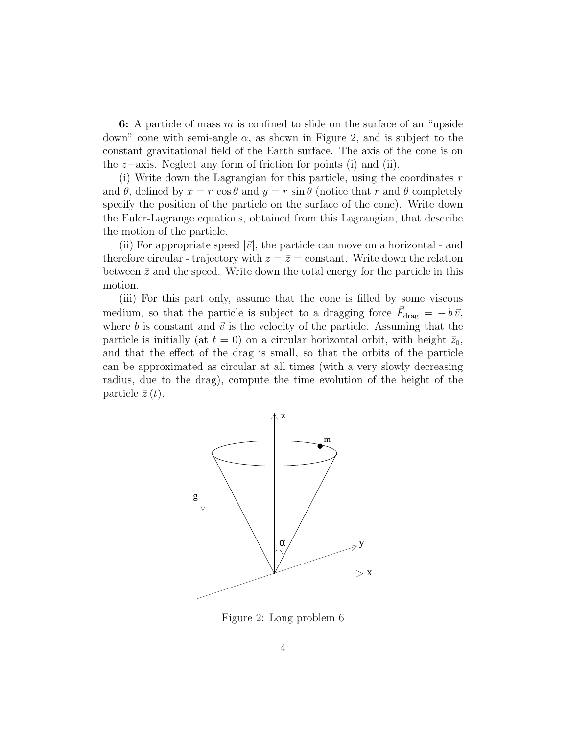6: A particle of mass  $m$  is confined to slide on the surface of an "upside" down" cone with semi-angle  $\alpha$ , as shown in Figure 2, and is subject to the constant gravitational field of the Earth surface. The axis of the cone is on the z−axis. Neglect any form of friction for points (i) and (ii).

(i) Write down the Lagrangian for this particle, using the coordinates  $r$ and  $\theta$ , defined by  $x = r \cos \theta$  and  $y = r \sin \theta$  (notice that r and  $\theta$  completely specify the position of the particle on the surface of the cone). Write down the Euler-Lagrange equations, obtained from this Lagrangian, that describe the motion of the particle.

(ii) For appropriate speed  $|\vec{v}|$ , the particle can move on a horizontal - and therefore circular - trajectory with  $z = \overline{z} = \text{constant}$ . Write down the relation between  $\bar{z}$  and the speed. Write down the total energy for the particle in this motion.

(iii) For this part only, assume that the cone is filled by some viscous medium, so that the particle is subject to a dragging force  $\vec{F}_{drag} = -b \vec{v}$ , where b is constant and  $\vec{v}$  is the velocity of the particle. Assuming that the particle is initially (at  $t = 0$ ) on a circular horizontal orbit, with height  $\bar{z}_0$ , and that the effect of the drag is small, so that the orbits of the particle can be approximated as circular at all times (with a very slowly decreasing radius, due to the drag), compute the time evolution of the height of the particle  $\bar{z}(t)$ .



Figure 2: Long problem 6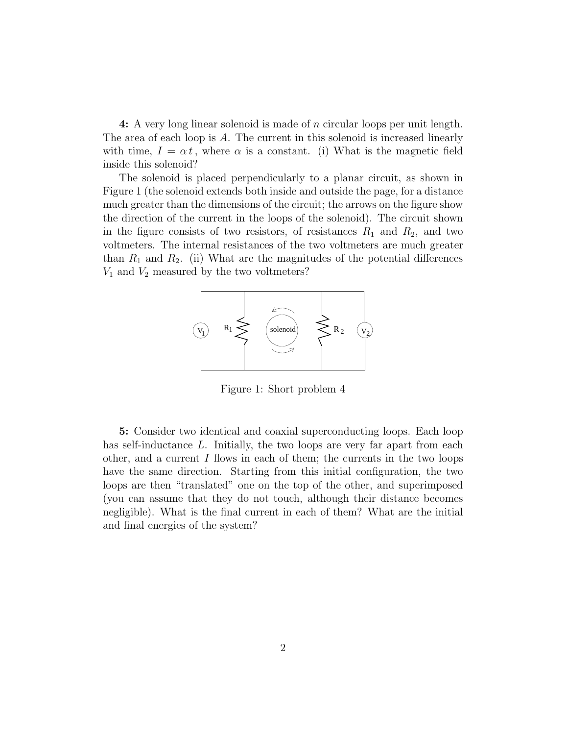4: A very long linear solenoid is made of n circular loops per unit length. The area of each loop is A. The current in this solenoid is increased linearly with time,  $I = \alpha t$ , where  $\alpha$  is a constant. (i) What is the magnetic field inside this solenoid?

The solenoid is placed perpendicularly to a planar circuit, as shown in Figure 1 (the solenoid extends both inside and outside the page, for a distance much greater than the dimensions of the circuit; the arrows on the figure show the direction of the current in the loops of the solenoid). The circuit shown in the figure consists of two resistors, of resistances  $R_1$  and  $R_2$ , and two voltmeters. The internal resistances of the two voltmeters are much greater than  $R_1$  and  $R_2$ . (ii) What are the magnitudes of the potential differences  $V_1$  and  $V_2$  measured by the two voltmeters?



Figure 1: Short problem 4

5: Consider two identical and coaxial superconducting loops. Each loop has self-inductance L. Initially, the two loops are very far apart from each other, and a current  $I$  flows in each of them; the currents in the two loops have the same direction. Starting from this initial configuration, the two loops are then "translated" one on the top of the other, and superimposed (you can assume that they do not touch, although their distance becomes negligible). What is the final current in each of them? What are the initial and final energies of the system?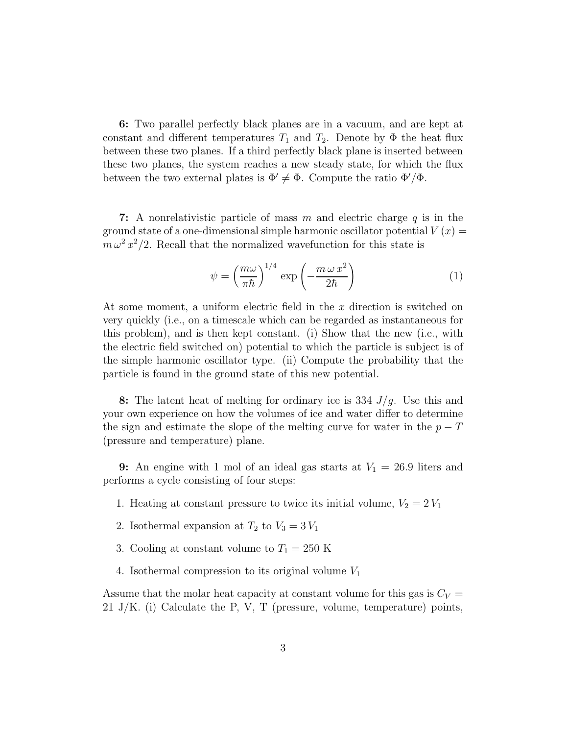6: Two parallel perfectly black planes are in a vacuum, and are kept at constant and different temperatures  $T_1$  and  $T_2$ . Denote by  $\Phi$  the heat flux between these two planes. If a third perfectly black plane is inserted between these two planes, the system reaches a new steady state, for which the flux between the two external plates is  $\Phi' \neq \Phi$ . Compute the ratio  $\Phi'/\Phi$ .

7: A nonrelativistic particle of mass m and electric charge  $q$  is in the ground state of a one-dimensional simple harmonic oscillator potential  $V(x) =$  $m \omega^2 x^2/2$ . Recall that the normalized wavefunction for this state is

$$
\psi = \left(\frac{m\omega}{\pi\hbar}\right)^{1/4} \exp\left(-\frac{m\,\omega\,x^2}{2\hbar}\right) \tag{1}
$$

At some moment, a uniform electric field in the  $x$  direction is switched on very quickly (i.e., on a timescale which can be regarded as instantaneous for this problem), and is then kept constant. (i) Show that the new (i.e., with the electric field switched on) potential to which the particle is subject is of the simple harmonic oscillator type. (ii) Compute the probability that the particle is found in the ground state of this new potential.

8: The latent heat of melting for ordinary ice is 334  $J/q$ . Use this and your own experience on how the volumes of ice and water differ to determine the sign and estimate the slope of the melting curve for water in the  $p - T$ (pressure and temperature) plane.

**9:** An engine with 1 mol of an ideal gas starts at  $V_1 = 26.9$  liters and performs a cycle consisting of four steps:

- 1. Heating at constant pressure to twice its initial volume,  $V_2 = 2 V_1$
- 2. Isothermal expansion at  $T_2$  to  $V_3 = 3V_1$
- 3. Cooling at constant volume to  $T_1 = 250$  K
- 4. Isothermal compression to its original volume  $V_1$

Assume that the molar heat capacity at constant volume for this gas is  $C_V =$ 21 J/K. (i) Calculate the P, V, T (pressure, volume, temperature) points,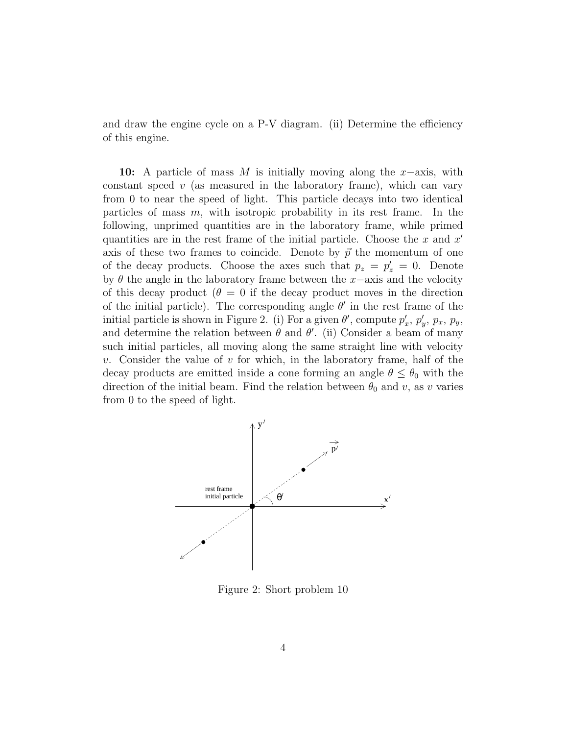and draw the engine cycle on a P-V diagram. (ii) Determine the efficiency of this engine.

10: A particle of mass M is initially moving along the  $x$ -axis, with constant speed  $v$  (as measured in the laboratory frame), which can vary from 0 to near the speed of light. This particle decays into two identical particles of mass m, with isotropic probability in its rest frame. In the following, unprimed quantities are in the laboratory frame, while primed quantities are in the rest frame of the initial particle. Choose the x and  $x'$ axis of these two frames to coincide. Denote by  $\vec{p}$  the momentum of one of the decay products. Choose the axes such that  $p_z = p'_z = 0$ . Denote by  $\theta$  the angle in the laboratory frame between the x−axis and the velocity of this decay product ( $\theta = 0$  if the decay product moves in the direction of the initial particle). The corresponding angle  $\theta'$  in the rest frame of the initial particle is shown in Figure 2. (i) For a given  $\theta'$ , compute  $p'_i$  $x'$ ,  $p'_y$ ,  $p_x$ ,  $p_y$ , and determine the relation between  $\theta$  and  $\theta'$ . (ii) Consider a beam of many such initial particles, all moving along the same straight line with velocity v. Consider the value of v for which, in the laboratory frame, half of the decay products are emitted inside a cone forming an angle  $\theta \leq \theta_0$  with the direction of the initial beam. Find the relation between  $\theta_0$  and v, as v varies from 0 to the speed of light.



Figure 2: Short problem 10